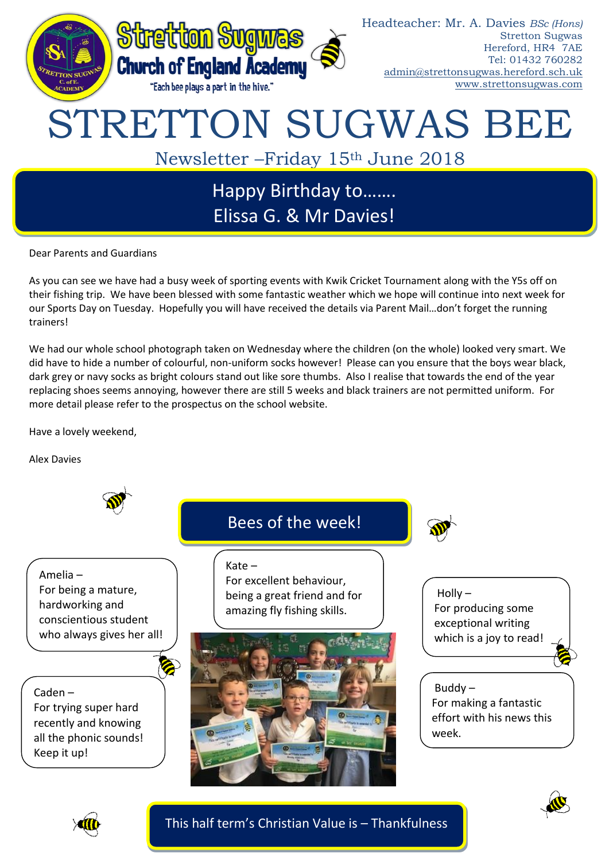

Dear Parents and Guardians

As you can see we have had a busy week of sporting events with Kwik Cricket Tournament along with the Y5s off on their fishing trip. We have been blessed with some fantastic weather which we hope will continue into next week for our Sports Day on Tuesday. Hopefully you will have received the details via Parent Mail…don't forget the running trainers!

We had our whole school photograph taken on Wednesday where the children (on the whole) looked very smart. We did have to hide a number of colourful, non-uniform socks however! Please can you ensure that the boys wear black, dark grey or navy socks as bright colours stand out like sore thumbs. Also I realise that towards the end of the year replacing shoes seems annoying, however there are still 5 weeks and black trainers are not permitted uniform. For more detail please refer to the prospectus on the school website.

Have a lovely weekend,

Alex Davies







This half term's Christian Value is – Thankfulness